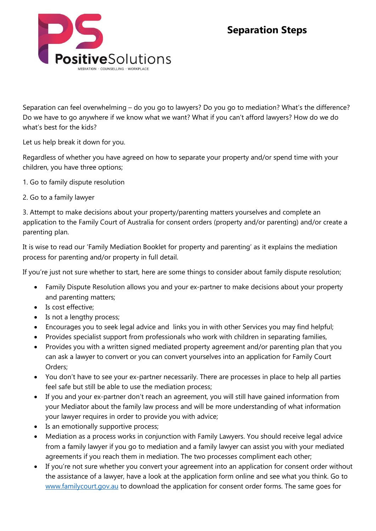## **Separation Steps**



Separation can feel overwhelming – do you go to lawyers? Do you go to mediation? What's the difference? Do we have to go anywhere if we know what we want? What if you can't afford lawyers? How do we do what's best for the kids?

Let us help break it down for you.

Regardless of whether you have agreed on how to separate your property and/or spend time with your children, you have three options;

- 1. Go to family dispute resolution
- 2. Go to a family lawyer

3. Attempt to make decisions about your property/parenting matters yourselves and complete an application to the Family Court of Australia for consent orders (property and/or parenting) and/or create a parenting plan.

It is wise to read our 'Family Mediation Booklet for property and parenting' as it explains the mediation process for parenting and/or property in full detail.

If you're just not sure whether to start, here are some things to consider about family dispute resolution;

- Family Dispute Resolution allows you and your ex-partner to make decisions about your property and parenting matters;
- Is cost effective;
- Is not a lengthy process;
- Encourages you to seek legal advice and links you in with other Services you may find helpful;
- Provides specialist support from professionals who work with children in separating families,
- Provides you with a written signed mediated property agreement and/or parenting plan that you can ask a lawyer to convert or you can convert yourselves into an application for Family Court Orders;
- You don't have to see your ex-partner necessarily. There are processes in place to help all parties feel safe but still be able to use the mediation process;
- If you and your ex-partner don't reach an agreement, you will still have gained information from your Mediator about the family law process and will be more understanding of what information your lawyer requires in order to provide you with advice;
- Is an emotionally supportive process;
- Mediation as a process works in conjunction with Family Lawyers. You should receive legal advice from a family lawyer if you go to mediation and a family lawyer can assist you with your mediated agreements if you reach them in mediation. The two processes compliment each other;
- If you're not sure whether you convert your agreement into an application for consent order without the assistance of a lawyer, have a look at the application form online and see what you think. Go to [www.familycourt.gov.au](http://www.familycourt.gov.au/) to download the application for consent order forms. The same goes for